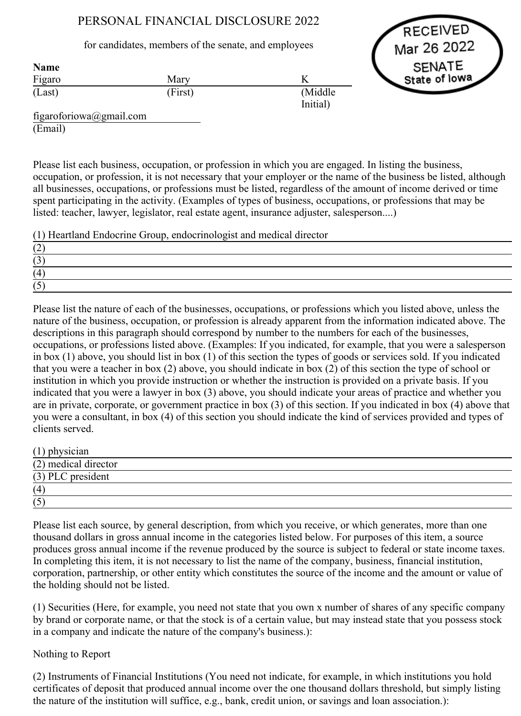# PERSONAL FINANCIAL DISCLOSURE 2022

### for candidates, members of the senate, and employees

RECEIVED Mar 26 2022 SENATE State of lowa

| <b>Name</b> |         |          |
|-------------|---------|----------|
| Figaro      | Mary    |          |
| (Last)      | (First) | (Middle) |
|             |         | Initial) |

figaroforiowa@gmail.com (Email)

Please list each business, occupation, or profession in which you are engaged. In listing the business, occupation, or profession, it is not necessary that your employer or the name of the business be listed, although all businesses, occupations, or professions must be listed, regardless of the amount of income derived or time spent participating in the activity. (Examples of types of business, occupations, or professions that may be listed: teacher, lawyer, legislator, real estate agent, insurance adjuster, salesperson....)

(1) Heartland Endocrine Group, endocrinologist and medical director

Please list the nature of each of the businesses, occupations, or professions which you listed above, unless the nature of the business, occupation, or profession is already apparent from the information indicated above. The descriptions in this paragraph should correspond by number to the numbers for each of the businesses, occupations, or professions listed above. (Examples: If you indicated, for example, that you were a salesperson in box (1) above, you should list in box (1) of this section the types of goods or services sold. If you indicated that you were a teacher in box (2) above, you should indicate in box (2) of this section the type of school or institution in which you provide instruction or whether the instruction is provided on a private basis. If you indicated that you were a lawyer in box (3) above, you should indicate your areas of practice and whether you are in private, corporate, or government practice in box (3) of this section. If you indicated in box (4) above that you were a consultant, in box (4) of this section you should indicate the kind of services provided and types of clients served.

| $(1)$ physician      |  |
|----------------------|--|
| (2) medical director |  |
| (3) PLC president    |  |
| (4)                  |  |
| (5)                  |  |

Please list each source, by general description, from which you receive, or which generates, more than one thousand dollars in gross annual income in the categories listed below. For purposes of this item, a source produces gross annual income if the revenue produced by the source is subject to federal or state income taxes. In completing this item, it is not necessary to list the name of the company, business, financial institution, corporation, partnership, or other entity which constitutes the source of the income and the amount or value of the holding should not be listed.

(1) Securities (Here, for example, you need not state that you own x number of shares of any specific company by brand or corporate name, or that the stock is of a certain value, but may instead state that you possess stock in a company and indicate the nature of the company's business.):

## Nothing to Report

(2) Instruments of Financial Institutions (You need not indicate, for example, in which institutions you hold certificates of deposit that produced annual income over the one thousand dollars threshold, but simply listing the nature of the institution will suffice, e.g., bank, credit union, or savings and loan association.):